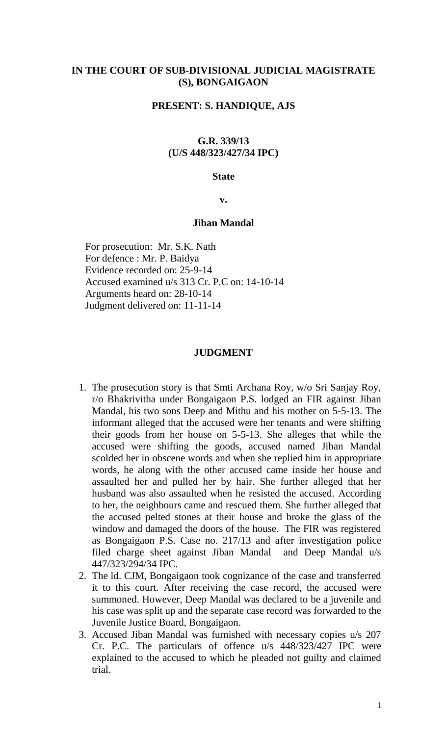## **IN THE COURT OF SUB-DIVISIONAL JUDICIAL MAGISTRATE (S), BONGAIGAON**

## **PRESENT: S. HANDIQUE, AJS**

# **G.R. 339/13 (U/S 448/323/427/34 IPC)**

#### **State**

**v.**

#### **Jiban Mandal**

For prosecution: Mr. S.K. Nath For defence : Mr. P. Baidya Evidence recorded on: 25-9-14 Accused examined u/s 313 Cr. P.C on: 14-10-14 Arguments heard on: 28-10-14 Judgment delivered on: 11-11-14

#### **JUDGMENT**

- 1. The prosecution story is that Smti Archana Roy, w/o Sri Sanjay Roy, r/o Bhakrivitha under Bongaigaon P.S. lodged an FIR against Jiban Mandal, his two sons Deep and Mithu and his mother on 5-5-13. The informant alleged that the accused were her tenants and were shifting their goods from her house on 5-5-13. She alleges that while the accused were shifting the goods, accused named Jiban Mandal scolded her in obscene words and when she replied him in appropriate words, he along with the other accused came inside her house and assaulted her and pulled her by hair. She further alleged that her husband was also assaulted when he resisted the accused. According to her, the neighbours came and rescued them. She further alleged that the accused pelted stones at their house and broke the glass of the window and damaged the doors of the house. The FIR was registered as Bongaigaon P.S. Case no. 217/13 and after investigation police filed charge sheet against Jiban Mandal and Deep Mandal u/s 447/323/294/34 IPC.
- 2. The ld. CJM, Bongaigaon took cognizance of the case and transferred it to this court. After receiving the case record, the accused were summoned. However, Deep Mandal was declared to be a juvenile and his case was split up and the separate case record was forwarded to the Juvenile Justice Board, Bongaigaon.
- 3. Accused Jiban Mandal was furnished with necessary copies u/s 207 Cr. P.C. The particulars of offence u/s 448/323/427 IPC were explained to the accused to which he pleaded not guilty and claimed trial.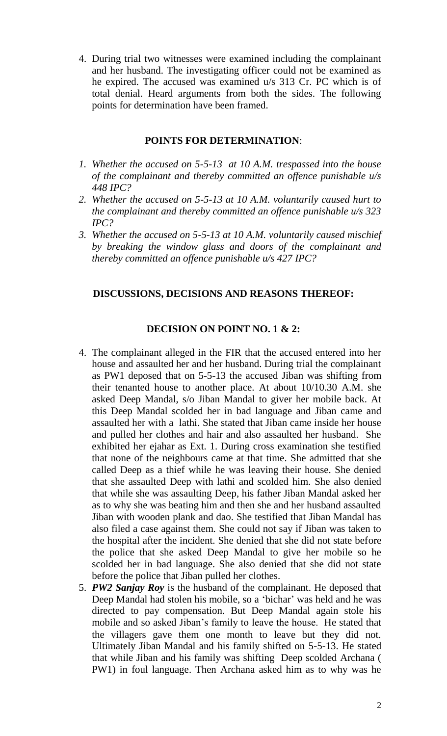4. During trial two witnesses were examined including the complainant and her husband. The investigating officer could not be examined as he expired. The accused was examined u/s 313 Cr. PC which is of total denial. Heard arguments from both the sides. The following points for determination have been framed.

## **POINTS FOR DETERMINATION**:

- *1. Whether the accused on 5-5-13 at 10 A.M. trespassed into the house of the complainant and thereby committed an offence punishable u/s 448 IPC?*
- *2. Whether the accused on 5-5-13 at 10 A.M. voluntarily caused hurt to the complainant and thereby committed an offence punishable u/s 323 IPC?*
- *3. Whether the accused on 5-5-13 at 10 A.M. voluntarily caused mischief by breaking the window glass and doors of the complainant and thereby committed an offence punishable u/s 427 IPC?*

# **DISCUSSIONS, DECISIONS AND REASONS THEREOF:**

# **DECISION ON POINT NO. 1 & 2:**

- 4. The complainant alleged in the FIR that the accused entered into her house and assaulted her and her husband. During trial the complainant as PW1 deposed that on 5-5-13 the accused Jiban was shifting from their tenanted house to another place. At about 10/10.30 A.M. she asked Deep Mandal, s/o Jiban Mandal to giver her mobile back. At this Deep Mandal scolded her in bad language and Jiban came and assaulted her with a lathi. She stated that Jiban came inside her house and pulled her clothes and hair and also assaulted her husband. She exhibited her ejahar as Ext. 1. During cross examination she testified that none of the neighbours came at that time. She admitted that she called Deep as a thief while he was leaving their house. She denied that she assaulted Deep with lathi and scolded him. She also denied that while she was assaulting Deep, his father Jiban Mandal asked her as to why she was beating him and then she and her husband assaulted Jiban with wooden plank and dao. She testified that Jiban Mandal has also filed a case against them. She could not say if Jiban was taken to the hospital after the incident. She denied that she did not state before the police that she asked Deep Mandal to give her mobile so he scolded her in bad language. She also denied that she did not state before the police that Jiban pulled her clothes.
- 5. *PW2 Sanjay Roy* is the husband of the complainant. He deposed that Deep Mandal had stolen his mobile, so a 'bichar' was held and he was directed to pay compensation. But Deep Mandal again stole his mobile and so asked Jiban's family to leave the house. He stated that the villagers gave them one month to leave but they did not. Ultimately Jiban Mandal and his family shifted on 5-5-13. He stated that while Jiban and his family was shifting Deep scolded Archana ( PW1) in foul language. Then Archana asked him as to why was he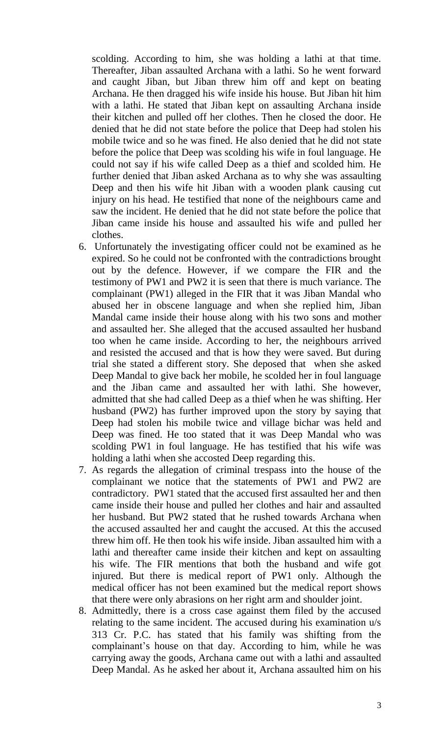scolding. According to him, she was holding a lathi at that time. Thereafter, Jiban assaulted Archana with a lathi. So he went forward and caught Jiban, but Jiban threw him off and kept on beating Archana. He then dragged his wife inside his house. But Jiban hit him with a lathi. He stated that Jiban kept on assaulting Archana inside their kitchen and pulled off her clothes. Then he closed the door. He denied that he did not state before the police that Deep had stolen his mobile twice and so he was fined. He also denied that he did not state before the police that Deep was scolding his wife in foul language. He could not say if his wife called Deep as a thief and scolded him. He further denied that Jiban asked Archana as to why she was assaulting Deep and then his wife hit Jiban with a wooden plank causing cut injury on his head. He testified that none of the neighbours came and saw the incident. He denied that he did not state before the police that Jiban came inside his house and assaulted his wife and pulled her clothes.

- 6. Unfortunately the investigating officer could not be examined as he expired. So he could not be confronted with the contradictions brought out by the defence. However, if we compare the FIR and the testimony of PW1 and PW2 it is seen that there is much variance. The complainant (PW1) alleged in the FIR that it was Jiban Mandal who abused her in obscene language and when she replied him, Jiban Mandal came inside their house along with his two sons and mother and assaulted her. She alleged that the accused assaulted her husband too when he came inside. According to her, the neighbours arrived and resisted the accused and that is how they were saved. But during trial she stated a different story. She deposed that when she asked Deep Mandal to give back her mobile, he scolded her in foul language and the Jiban came and assaulted her with lathi. She however, admitted that she had called Deep as a thief when he was shifting. Her husband (PW2) has further improved upon the story by saying that Deep had stolen his mobile twice and village bichar was held and Deep was fined. He too stated that it was Deep Mandal who was scolding PW1 in foul language. He has testified that his wife was holding a lathi when she accosted Deep regarding this.
- 7. As regards the allegation of criminal trespass into the house of the complainant we notice that the statements of PW1 and PW2 are contradictory. PW1 stated that the accused first assaulted her and then came inside their house and pulled her clothes and hair and assaulted her husband. But PW2 stated that he rushed towards Archana when the accused assaulted her and caught the accused. At this the accused threw him off. He then took his wife inside. Jiban assaulted him with a lathi and thereafter came inside their kitchen and kept on assaulting his wife. The FIR mentions that both the husband and wife got injured. But there is medical report of PW1 only. Although the medical officer has not been examined but the medical report shows that there were only abrasions on her right arm and shoulder joint.
- 8. Admittedly, there is a cross case against them filed by the accused relating to the same incident. The accused during his examination u/s 313 Cr. P.C. has stated that his family was shifting from the complainant's house on that day. According to him, while he was carrying away the goods, Archana came out with a lathi and assaulted Deep Mandal. As he asked her about it, Archana assaulted him on his